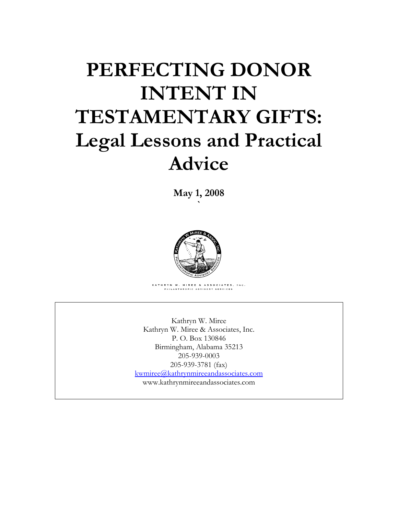# **PERFECTING DONOR INTENT IN TESTAMENTARY GIFTS: Legal Lessons and Practical Advice**

**May 1, 2008 `** 



PHILANTHROPIC ADVISORY SERVICES

Kathryn W. Miree Kathryn W. Miree & Associates, Inc. P. O. Box 130846 Birmingham, Alabama 35213 205-939-0003 205-939-3781 (fax) [kwmiree@kathrynmireeandassociates.com](mailto:kwmiree@kathrynmireeandassociates.com) www.kathrynmireeandassociates.com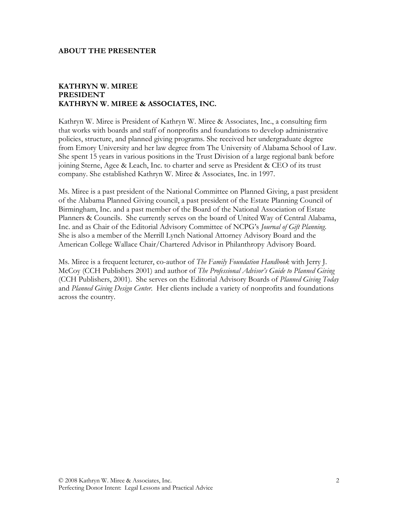#### **ABOUT THE PRESENTER**

#### **KATHRYN W. MIREE PRESIDENT KATHRYN W. MIREE & ASSOCIATES, INC.**

Kathryn W. Miree is President of Kathryn W. Miree & Associates, Inc., a consulting firm that works with boards and staff of nonprofits and foundations to develop administrative policies, structure, and planned giving programs. She received her undergraduate degree from Emory University and her law degree from The University of Alabama School of Law. She spent 15 years in various positions in the Trust Division of a large regional bank before joining Sterne, Agee & Leach, Inc. to charter and serve as President & CEO of its trust company. She established Kathryn W. Miree & Associates, Inc. in 1997.

Ms. Miree is a past president of the National Committee on Planned Giving, a past president of the Alabama Planned Giving council, a past president of the Estate Planning Council of Birmingham, Inc. and a past member of the Board of the National Association of Estate Planners & Councils. She currently serves on the board of United Way of Central Alabama, Inc. and as Chair of the Editorial Advisory Committee of NCPG's *Journal of Gift Planning*. She is also a member of the Merrill Lynch National Attorney Advisory Board and the American College Wallace Chair/Chartered Advisor in Philanthropy Advisory Board.

Ms. Miree is a frequent lecturer, co-author of *The Family Foundation Handbook* with Jerry J. McCoy (CCH Publishers 2001) and author of *The Professional Advisor's Guide to Planned Giving* (CCH Publishers, 2001). She serves on the Editorial Advisory Boards of *Planned Giving Today* and *Planned Giving Design Center*. Her clients include a variety of nonprofits and foundations across the country.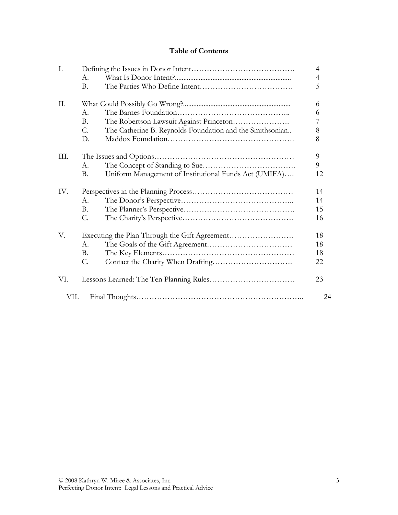## **Table of Contents**

| I.   |             |                                                          | $\overline{4}$ |
|------|-------------|----------------------------------------------------------|----------------|
|      | А.          |                                                          | 4              |
|      | <b>B.</b>   |                                                          | 5              |
| П.   |             |                                                          | 6              |
|      | $A_{\cdot}$ |                                                          | 6              |
|      | <b>B.</b>   |                                                          | 7              |
|      | C.          | The Catherine B. Reynolds Foundation and the Smithsonian | 8              |
|      | D.          |                                                          | 8              |
| III. |             |                                                          | 9              |
|      | A.          |                                                          | 9              |
|      | <b>B.</b>   | Uniform Management of Institutional Funds Act (UMIFA)    | 12             |
| IV.  |             |                                                          | 14             |
|      | А.          |                                                          | 14             |
|      | B.          |                                                          | 15             |
|      | C.          |                                                          | 16             |
| V.   |             |                                                          | 18             |
|      | $A_{\cdot}$ |                                                          | 18             |
|      | B.          |                                                          | 18             |
|      | C.          |                                                          | 22             |
| VI.  |             |                                                          | 23             |
| VII. |             |                                                          | 24             |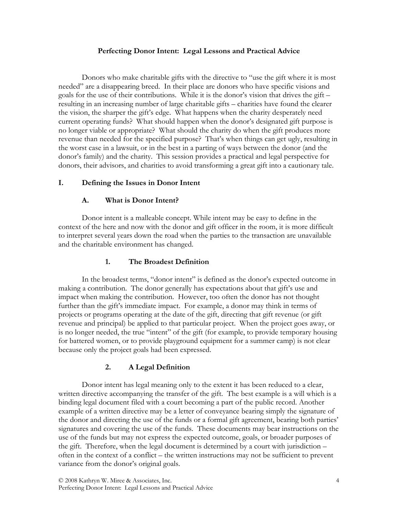#### **Perfecting Donor Intent: Legal Lessons and Practical Advice**

Donors who make charitable gifts with the directive to "use the gift where it is most needed" are a disappearing breed. In their place are donors who have specific visions and goals for the use of their contributions. While it is the donor's vision that drives the gift – resulting in an increasing number of large charitable gifts – charities have found the clearer the vision, the sharper the gift's edge. What happens when the charity desperately need current operating funds? What should happen when the donor's designated gift purpose is no longer viable or appropriate? What should the charity do when the gift produces more revenue than needed for the specified purpose? That's when things can get ugly, resulting in the worst case in a lawsuit, or in the best in a parting of ways between the donor (and the donor's family) and the charity. This session provides a practical and legal perspective for donors, their advisors, and charities to avoid transforming a great gift into a cautionary tale.

#### **I. Defining the Issues in Donor Intent**

#### **A. What is Donor Intent?**

Donor intent is a malleable concept. While intent may be easy to define in the context of the here and now with the donor and gift officer in the room, it is more difficult to interpret several years down the road when the parties to the transaction are unavailable and the charitable environment has changed.

#### **1. The Broadest Definition**

In the broadest terms, "donor intent" is defined as the donor's expected outcome in making a contribution. The donor generally has expectations about that gift's use and impact when making the contribution. However, too often the donor has not thought further than the gift's immediate impact. For example, a donor may think in terms of projects or programs operating at the date of the gift, directing that gift revenue (or gift revenue and principal) be applied to that particular project. When the project goes away, or is no longer needed, the true "intent" of the gift (for example, to provide temporary housing for battered women, or to provide playground equipment for a summer camp) is not clear because only the project goals had been expressed.

#### **2. A Legal Definition**

Donor intent has legal meaning only to the extent it has been reduced to a clear, written directive accompanying the transfer of the gift. The best example is a will which is a binding legal document filed with a court becoming a part of the public record. Another example of a written directive may be a letter of conveyance bearing simply the signature of the donor and directing the use of the funds or a formal gift agreement, bearing both parties' signatures and covering the use of the funds. These documents may bear instructions on the use of the funds but may not express the expected outcome, goals, or broader purposes of the gift. Therefore, when the legal document is determined by a court with jurisdiction – often in the context of a conflict – the written instructions may not be sufficient to prevent variance from the donor's original goals.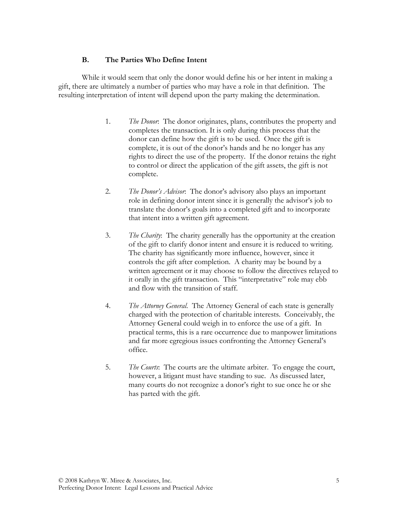#### **B. The Parties Who Define Intent**

While it would seem that only the donor would define his or her intent in making a gift, there are ultimately a number of parties who may have a role in that definition. The resulting interpretation of intent will depend upon the party making the determination.

- 1. *The Donor*: The donor originates, plans, contributes the property and completes the transaction. It is only during this process that the donor can define how the gift is to be used. Once the gift is complete, it is out of the donor's hands and he no longer has any rights to direct the use of the property. If the donor retains the right to control or direct the application of the gift assets, the gift is not complete.
- 2. *The Donor's Advisor*: The donor's advisory also plays an important role in defining donor intent since it is generally the advisor's job to translate the donor's goals into a completed gift and to incorporate that intent into a written gift agreement.
- 3. *The Charity*: The charity generally has the opportunity at the creation of the gift to clarify donor intent and ensure it is reduced to writing. The charity has significantly more influence, however, since it controls the gift after completion. A charity may be bound by a written agreement or it may choose to follow the directives relayed to it orally in the gift transaction. This "interpretative" role may ebb and flow with the transition of staff.
- 4. *The Attorney General*. The Attorney General of each state is generally charged with the protection of charitable interests. Conceivably, the Attorney General could weigh in to enforce the use of a gift. In practical terms, this is a rare occurrence due to manpower limitations and far more egregious issues confronting the Attorney General's office.
- 5. *The Courts*: The courts are the ultimate arbiter. To engage the court, however, a litigant must have standing to sue. As discussed later, many courts do not recognize a donor's right to sue once he or she has parted with the gift.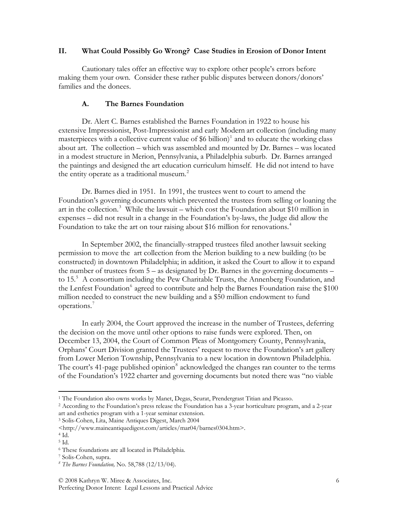#### **II. What Could Possibly Go Wrong? Case Studies in Erosion of Donor Intent**

Cautionary tales offer an effective way to explore other people's errors before making them your own. Consider these rather public disputes between donors/donors' families and the donees.

#### **A. The Barnes Foundation**

Dr. Alert C. Barnes established the Barnes Foundation in 1922 to house his extensive Impressionist, Post-Impressionist and early Modern art collection (including many masterpieces with a collective current value of  $$6$  billion)<sup>[1](#page-5-0)</sup> and to educate the working class about art. The collection – which was assembled and mounted by Dr. Barnes – was located in a modest structure in Merion, Pennsylvania, a Philadelphia suburb. Dr. Barnes arranged the paintings and designed the art education curriculum himself. He did not intend to have the entity operate as a traditional museum.<sup>[2](#page-5-1)</sup>

Dr. Barnes died in 1951. In 1991, the trustees went to court to amend the Foundation's governing documents which prevented the trustees from selling or loaning the art in the collection.<sup>[3](#page-5-2)</sup> While the lawsuit – which cost the Foundation about \$10 million in expenses – did not result in a change in the Foundation's by-laws, the Judge did allow the Foundation to take the art on tour raising about \$16 million for renovations.<sup>[4](#page-5-3)</sup>

In September 2002, the financially-strapped trustees filed another lawsuit seeking permission to move the art collection from the Merion building to a new building (to be constructed) in downtown Philadelphia; in addition, it asked the Court to allow it to expand the number of trustees from 5 – as designated by Dr. Barnes in the governing documents – to 1[5](#page-5-4).<sup>5</sup> A consortium including the Pew Charitable Trusts, the Annenberg Foundation, and the Lenfest Foundation<sup>[6](#page-5-5)</sup> agreed to contribute and help the Barnes Foundation raise the \$100 million needed to construct the new building and a \$50 million endowment to fund operations.[7](#page-5-6)

In early 2004, the Court approved the increase in the number of Trustees, deferring the decision on the move until other options to raise funds were explored. Then, on December 13, 2004, the Court of Common Pleas of Montgomery County, Pennsylvania, Orphans' Court Division granted the Trustees' request to move the Foundation's art gallery from Lower Merion Township, Pennsylvania to a new location in downtown Philadelphia. The court's 41-page published opinion<sup>[8](#page-5-7)</sup> acknowledged the changes ran counter to the terms of the Foundation's 1922 charter and governing documents but noted there was "no viable

<span id="page-5-1"></span><span id="page-5-0"></span><sup>&</sup>lt;sup>1</sup> The Foundation also owns works by Manet, Degas, Seurat, Prendergrast Titian and Picasso.<br><sup>2</sup> According to the Foundation's press release the Foundation has a 3-year horticulture program, and a 2-year art and esthetics program with a 1-year seminar extension. 3 Solis-Cohen, Lita, Maine Antiques Digest, March 2004

<span id="page-5-2"></span>

<sup>&</sup>lt;http://www.maineantiquedigest.com/articles/mar04/barnes0304.htm>. 4 Id.

<span id="page-5-3"></span>

<span id="page-5-4"></span><sup>5</sup> Id.

<span id="page-5-5"></span><sup>6</sup> These foundations are all located in Philadelphia.

<span id="page-5-6"></span><sup>7</sup> Solis-Cohen, supra.

<span id="page-5-7"></span>*<sup>8</sup> The Barnes Foundation,* No. 58,788 (12/13/04).

<sup>© 2008</sup> Kathryn W. Miree & Associates, Inc.

Perfecting Donor Intent: Legal Lessons and Practical Advice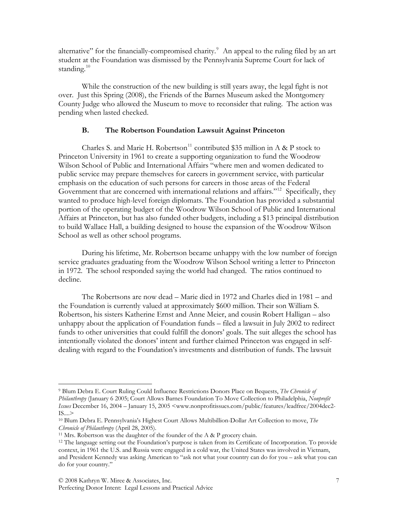alternative" for the financially-compromised charity.<sup>[9](#page-6-0)</sup> An appeal to the ruling filed by an art student at the Foundation was dismissed by the Pennsylvania Supreme Court for lack of standing. $10$ 

While the construction of the new building is still years away, the legal fight is not over. Just this Spring (2008), the Friends of the Barnes Museum asked the Montgomery County Judge who allowed the Museum to move to reconsider that ruling. The action was pending when lasted checked.

#### **B. The Robertson Foundation Lawsuit Against Princeton**

Charles S. and Marie H. Robertson<sup>[11](#page-6-2)</sup> contributed \$35 million in A & P stock to Princeton University in 1961 to create a supporting organization to fund the Woodrow Wilson School of Public and International Affairs "where men and women dedicated to public service may prepare themselves for careers in government service, with particular emphasis on the education of such persons for careers in those areas of the Federal Government that are concerned with international relations and affairs."<sup>[12](#page-6-3)</sup> Specifically, they wanted to produce high-level foreign diplomats. The Foundation has provided a substantial portion of the operating budget of the Woodrow Wilson School of Public and International Affairs at Princeton, but has also funded other budgets, including a \$13 principal distribution to build Wallace Hall, a building designed to house the expansion of the Woodrow Wilson School as well as other school programs.

During his lifetime, Mr. Robertson became unhappy with the low number of foreign service graduates graduating from the Woodrow Wilson School writing a letter to Princeton in 1972. The school responded saying the world had changed. The ratios continued to decline.

The Robertsons are now dead – Marie died in 1972 and Charles died in 1981 – and the Foundation is currently valued at approximately \$600 million. Their son William S. Robertson, his sisters Katherine Ernst and Anne Meier, and cousin Robert Halligan – also unhappy about the application of Foundation funds – filed a lawsuit in July 2002 to redirect funds to other universities that could fulfill the donors' goals. The suit alleges the school has intentionally violated the donors' intent and further claimed Princeton was engaged in selfdealing with regard to the Foundation's investments and distribution of funds. The lawsuit

<span id="page-6-0"></span><sup>9</sup> Blum Debra E. Court Ruling Could Influence Restrictions Donors Place on Bequests, *The Chronicle of Philanthropy* (January 6 2005; Court Allows Barnes Foundation To Move Collection to Philadelphia, *Nonprofit Issues* December 16, 2004 – January 15, 2005 <www.nonprofitissues.com/public/features/leadfree/2004dec2-  $IS...$ 

<sup>10</sup> Blum Debra E. Pennsylvania's Highest Court Allows Multibillion-Dollar Art Collection to move, *The* 

<span id="page-6-3"></span>

<span id="page-6-2"></span><span id="page-6-1"></span>Chronicle of Philanthropy (April 28, 2005).<br><sup>11</sup> Mrs. Robertson was the daughter of the founder of the A & P grocery chain.<br><sup>12</sup> The language setting out the Foundation's purpose is taken from its Certificate of Incorporat context, in 1961 the U.S. and Russia were engaged in a cold war, the United States was involved in Vietnam, and President Kennedy was asking American to "ask not what your country can do for you – ask what you can do for your country."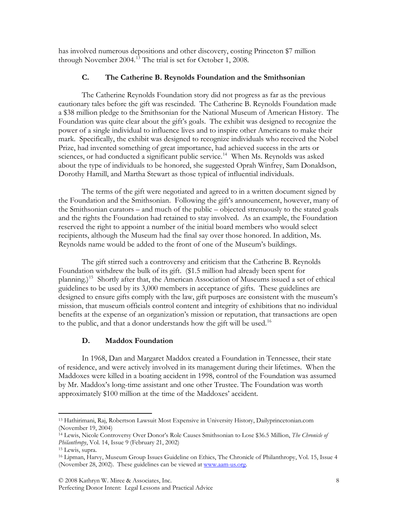has involved numerous depositions and other discovery, costing Princeton \$7 million through November  $2004<sup>13</sup>$  $2004<sup>13</sup>$  $2004<sup>13</sup>$  The trial is set for October 1, 2008.

#### **C. The Catherine B. Reynolds Foundation and the Smithsonian**

The Catherine Reynolds Foundation story did not progress as far as the previous cautionary tales before the gift was rescinded. The Catherine B. Reynolds Foundation made a \$38 million pledge to the Smithsonian for the National Museum of American History. The Foundation was quite clear about the gift's goals. The exhibit was designed to recognize the power of a single individual to influence lives and to inspire other Americans to make their mark. Specifically, the exhibit was designed to recognize individuals who received the Nobel Prize, had invented something of great importance, had achieved success in the arts or sciences, or had conducted a significant public service.<sup>[14](#page-7-1)</sup> When Ms. Reynolds was asked about the type of individuals to be honored, she suggested Oprah Winfrey, Sam Donaldson, Dorothy Hamill, and Martha Stewart as those typical of influential individuals.

The terms of the gift were negotiated and agreed to in a written document signed by the Foundation and the Smithsonian. Following the gift's announcement, however, many of the Smithsonian curators – and much of the public – objected strenuously to the stated goals and the rights the Foundation had retained to stay involved. As an example, the Foundation reserved the right to appoint a number of the initial board members who would select recipients, although the Museum had the final say over those honored. In addition, Ms. Reynolds name would be added to the front of one of the Museum's buildings.

The gift stirred such a controversy and criticism that the Catherine B. Reynolds Foundation withdrew the bulk of its gift. (\$1.5 million had already been spent for planning.)<sup>[15](#page-7-2)</sup> Shortly after that, the American Association of Museums issued a set of ethical guidelines to be used by its 3,000 members in acceptance of gifts. These guidelines are designed to ensure gifts comply with the law, gift purposes are consistent with the museum's mission, that museum officials control content and integrity of exhibitions that no individual benefits at the expense of an organization's mission or reputation, that transactions are open to the public, and that a donor understands how the gift will be used.<sup>[16](#page-7-3)</sup>

#### **D. Maddox Foundation**

In 1968, Dan and Margaret Maddox created a Foundation in Tennessee, their state of residence, and were actively involved in its management during their lifetimes. When the Maddoxes were killed in a boating accident in 1998, control of the Foundation was assumed by Mr. Maddox's long-time assistant and one other Trustee. The Foundation was worth approximately \$100 million at the time of the Maddoxes' accident.

<span id="page-7-0"></span> $\overline{a}$ 13 Hathirimani, Raj, Robertson Lawsuit Most Expensive in University History, Dailyprincetonian.com (November 19, 2004)

<span id="page-7-1"></span><sup>14</sup> Lewis, Nicole Controversy Over Donor's Role Causes Smithsonian to Lose \$36.5 Million, *The Chronicle of Philanthropy*, Vol. 14, Issue 9 (February 21, 2002) 15 Lewis, supra.

<span id="page-7-2"></span>

<span id="page-7-3"></span><sup>16</sup> Lipman, Harvy, Museum Group Issues Guideline on Ethics, The Chronicle of Philanthropy, Vol. 15, Issue 4 (November 28, 2002). These guidelines can be viewed at [www.aam-us.org](http://www.aam-us.org/).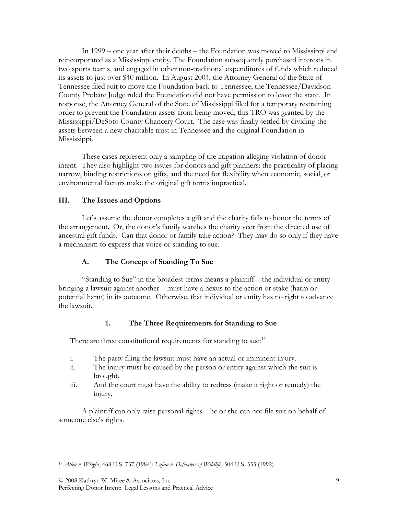In 1999 – one year after their deaths – the Foundation was moved to Mississippi and reincorporated as a Mississippi entity. The Foundation subsequently purchased interests in two sports teams, and engaged in other non-traditional expenditures of funds which reduced its assets to just over \$40 million. In August 2004, the Attorney General of the State of Tennessee filed suit to move the Foundation back to Tennessee; the Tennessee/Davidson County Probate Judge ruled the Foundation did not have permission to leave the state. In response, the Attorney General of the State of Mississippi filed for a temporary restraining order to prevent the Foundation assets from being moved; this TRO was granted by the Mississippi/DeSoto County Chancery Court. The case was finally settled by dividing the assets between a new charitable trust in Tennessee and the original Foundation in Mississippi.

These cases represent only a sampling of the litigation alleging violation of donor intent. They also highlight two issues for donors and gift planners: the practicality of placing narrow, binding restrictions on gifts, and the need for flexibility when economic, social, or environmental factors make the original gift terms impractical.

#### **III. The Issues and Options**

Let's assume the donor completes a gift and the charity fails to honor the terms of the arrangement. Or, the donor's family watches the charity veer from the directed use of ancestral gift funds. Can that donor or family take action? They may do so only if they have a mechanism to express that voice or standing to sue.

#### **A. The Concept of Standing To Sue**

"Standing to Sue" in the broadest terms means a plaintiff – the individual or entity bringing a lawsuit against another – must have a nexus to the action or stake (harm or potential harm) in its outcome. Otherwise, that individual or entity has no right to advance the lawsuit.

#### **1. The Three Requirements for Standing to Sue**

There are three constitutional requirements for standing to sue: $17$ 

- i. The party filing the lawsuit must have an actual or imminent injury.
- ii. The injury must be caused by the person or entity against which the suit is brought.
- iii. And the court must have the ability to redress (make it right or remedy) the injury.

A plaintiff can only raise personal rights – he or she can not file suit on behalf of someone else's rights.

<span id="page-8-0"></span><sup>17</sup> *Allen v. Wright*, 468 U.S. 737 (1984); *Lujan v. Defenders of Wildlife*, 504 U.S. 555 (1992).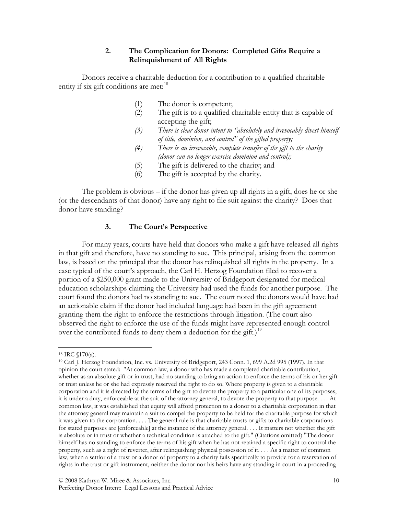#### **2. The Complication for Donors: Completed Gifts Require a Relinquishment of All Rights**

Donors receive a charitable deduction for a contribution to a qualified charitable entity if six gift conditions are met: $18$ 

- (1) The donor is competent;
- (2) The gift is to a qualified charitable entity that is capable of accepting the gift;
- *(3) There is clear donor intent to "absolutely and irrevocably divest himself of title, dominion, and control" of the gifted property;*
- *(4) There is an irrevocable, complete transfer of the gift to the charity (donor can no longer exercise dominion and control);*
- (5) The gift is delivered to the charity; and
- (6) The gift is accepted by the charity.

The problem is obvious – if the donor has given up all rights in a gift, does he or she (or the descendants of that donor) have any right to file suit against the charity? Does that donor have standing?

#### **3. The Court's Perspective**

For many years, courts have held that donors who make a gift have released all rights in that gift and therefore, have no standing to sue. This principal, arising from the common law, is based on the principal that the donor has relinquished all rights in the property. In a case typical of the court's approach, the Carl H. Herzog Foundation filed to recover a portion of a \$250,000 grant made to the University of Bridgeport designated for medical education scholarships claiming the University had used the funds for another purpose. The court found the donors had no standing to sue. The court noted the donors would have had an actionable claim if the donor had included language had been in the gift agreement granting them the right to enforce the restrictions through litigation. (The court also observed the right to enforce the use of the funds might have represented enough control over the contributed funds to deny them a deduction for the gift.)<sup>[19](#page-9-1)</sup>

<span id="page-9-0"></span><sup>18</sup> IRC §170(a).

<span id="page-9-1"></span><sup>19</sup> Carl J. Herzog Foundation, Inc. vs. University of Bridgeport, 243 Conn. 1, 699 A.2d 995 (1997). In that opinion the court stated: "At common law, a donor who has made a completed charitable contribution, whether as an absolute gift or in trust, had no standing to bring an action to enforce the terms of his or her gift or trust unless he or she had expressly reserved the right to do so. Where property is given to a charitable corporation and it is directed by the terms of the gift to devote the property to a particular one of its purposes, it is under a duty, enforceable at the suit of the attorney general, to devote the property to that purpose. . . . At common law, it was established that equity will afford protection to a donor to a charitable corporation in that the attorney general may maintain a suit to compel the property to be held for the charitable purpose for which it was given to the corporation. . . . The general rule is that charitable trusts or gifts to charitable corporations for stated purposes are [enforceable] at the instance of the attorney general. . . . It matters not whether the gift is absolute or in trust or whether a technical condition is attached to the gift." (Citations omitted) "The donor himself has no standing to enforce the terms of his gift when he has not retained a specific right to control the property, such as a right of reverter, after relinquishing physical possession of it. . . . As a matter of common law, when a settlor of a trust or a donor of property to a charity fails specifically to provide for a reservation of rights in the trust or gift instrument, neither the donor nor his heirs have any standing in court in a proceeding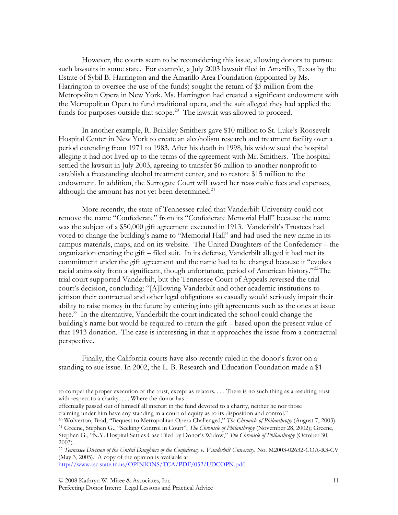However, the courts seem to be reconsidering this issue, allowing donors to pursue such lawsuits in some state. For example, a July 2003 lawsuit filed in Amarillo, Texas by the Estate of Sybil B. Harrington and the Amarillo Area Foundation (appointed by Ms. Harrington to oversee the use of the funds) sought the return of \$5 million from the Metropolitan Opera in New York. Ms. Harrington had created a significant endowment with the Metropolitan Opera to fund traditional opera, and the suit alleged they had applied the funds for purposes outside that scope.<sup>[20](#page-10-0)</sup> The lawsuit was allowed to proceed.

In another example, R. Brinkley Smithers gave \$10 million to St. Luke's-Roosevelt Hospital Center in New York to create an alcoholism research and treatment facility over a period extending from 1971 to 1983. After his death in 1998, his widow sued the hospital alleging it had not lived up to the terms of the agreement with Mr. Smithers. The hospital settled the lawsuit in July 2003, agreeing to transfer \$6 million to another nonprofit to establish a freestanding alcohol treatment center, and to restore \$15 million to the endowment. In addition, the Surrogate Court will award her reasonable fees and expenses, although the amount has not yet been determined. $^{21}$  $^{21}$  $^{21}$ 

More recently, the state of Tennessee ruled that Vanderbilt University could not remove the name "Confederate" from its "Confederate Memorial Hall" because the name was the subject of a \$50,000 gift agreement executed in 1913. Vanderbilt's Trustees had voted to change the building's name to "Memorial Hall" and had used the new name in its campus materials, maps, and on its website. The United Daughters of the Confederacy – the organization creating the gift – filed suit. In its defense, Vanderbilt alleged it had met its commitment under the gift agreement and the name had to be changed because it "evokes racial animosity from a significant, though unfortunate, period of American history."<sup>[22](#page-10-2)</sup>The trial court supported Vanderbilt, but the Tennessee Court of Appeals reversed the trial court's decision, concluding: "[A]llowing Vanderbilt and other academic institutions to jettison their contractual and other legal obligations so casually would seriously impair their ability to raise money in the future by entering into gift agreements such as the ones at issue here." In the alternative, Vanderbilt the court indicated the school could change the building's name but would be required to return the gift – based upon the present value of that 1913 donation. The case is interesting in that it approaches the issue from a contractual perspective.

Finally, the California courts have also recently ruled in the donor's favor on a standing to sue issue. In 2002, the L. B. Research and Education Foundation made a \$1

to compel the proper execution of the trust, except as relators. . . . There is no such thing as a resulting trust with respect to a charity.... Where the donor has

effectually passed out of himself all interest in the fund devoted to a charity, neither he nor those

<span id="page-10-0"></span>claiming under him have any standing in a court of equity as to its disposition and control."<br><sup>20</sup> Wolverton, Brad, "Bequest to Metropolitan Opera Challenged," The Chronicle of Philanthropy (August 7, 2003).<br><sup>21</sup> Greene, S

<span id="page-10-1"></span>Stephen G., "N.Y. Hospital Settles Case Filed by Donor's Widow," *The Chronicle of Philanthropy* (October 30, 2003).

<span id="page-10-2"></span><sup>22</sup> *Tennessee Division of the United Daughters of the Confederacy v. Vanderbilt University*, No. M2003-02632-COA-R3-CV (May 3, 2005). A copy of the opinion is available at [http://www.tsc.state.tn.us/OPINIONS/TCA/PDF/052/UDCOPN.pdf.](http://www.tsc.state.tn.us/OPINIONS/TCA/PDF/052/UDCOPN.pdf)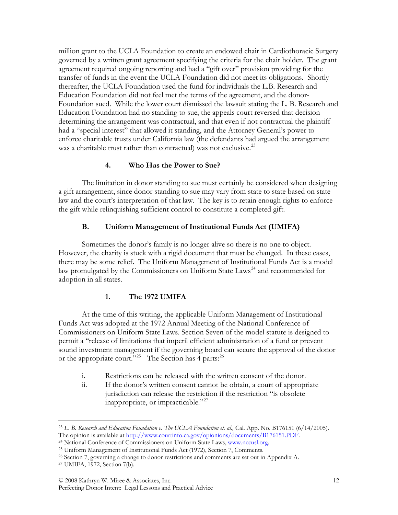million grant to the UCLA Foundation to create an endowed chair in Cardiothoracic Surgery governed by a written grant agreement specifying the criteria for the chair holder. The grant agreement required ongoing reporting and had a "gift over" provision providing for the transfer of funds in the event the UCLA Foundation did not meet its obligations. Shortly thereafter, the UCLA Foundation used the fund for individuals the L.B. Research and Education Foundation did not feel met the terms of the agreement, and the donor-Foundation sued. While the lower court dismissed the lawsuit stating the L. B. Research and Education Foundation had no standing to sue, the appeals court reversed that decision determining the arrangement was contractual, and that even if not contractual the plaintiff had a "special interest" that allowed it standing, and the Attorney General's power to enforce charitable trusts under California law (the defendants had argued the arrangement was a charitable trust rather than contractual) was not exclusive.<sup>[23](#page-11-0)</sup>

## **4. Who Has the Power to Sue?**

The limitation in donor standing to sue must certainly be considered when designing a gift arrangement, since donor standing to sue may vary from state to state based on state law and the court's interpretation of that law. The key is to retain enough rights to enforce the gift while relinquishing sufficient control to constitute a completed gift.

#### **B. Uniform Management of Institutional Funds Act (UMIFA)**

Sometimes the donor's family is no longer alive so there is no one to object. However, the charity is stuck with a rigid document that must be changed. In these cases, there may be some relief. The Uniform Management of Institutional Funds Act is a model law promulgated by the Commissioners on Uniform State Laws<sup>[24](#page-11-1)</sup> and recommended for adoption in all states.

## **1. The 1972 UMIFA**

At the time of this writing, the applicable Uniform Management of Institutional Funds Act was adopted at the 1972 Annual Meeting of the National Conference of Commissioners on Uniform State Laws. Section Seven of the model statute is designed to permit a "release of limitations that imperil efficient administration of a fund or prevent sound investment management if the governing board can secure the approval of the donor or the appropriate court."<sup>[25](#page-11-2)</sup> The Section has  $\frac{4}{3}$  parts:<sup>[26](#page-11-3)</sup>

- i. Restrictions can be released with the written consent of the donor.
- ii. If the donor's written consent cannot be obtain, a court of appropriate jurisdiction can release the restriction if the restriction "is obsolete inappropriate, or impracticable."<sup>[27](#page-11-4)</sup>

<span id="page-11-0"></span> $\overline{a}$ <sup>23</sup> *L. B. Research and Education Foundation v. The UCLA Foundation et. al.,* Cal. App. No. B176151 (6/14/2005).<br>The opinion is available at <u>http://www.courtinfo.ca.gov/opionions/documents/B176151.PDF</u>.

<span id="page-11-1"></span>

<span id="page-11-2"></span>

<sup>&</sup>lt;sup>24</sup> National Conference of Commissioners on Uniform State Laws, <u>[www.nccusl.org](http://www.nccusl.org/)</u>.<br><sup>25</sup> Uniform Management of Institutional Funds Act (1972), Section 7, Comments.<br><sup>26</sup> Section 7, governing a change to donor restrictions an

<span id="page-11-4"></span><span id="page-11-3"></span>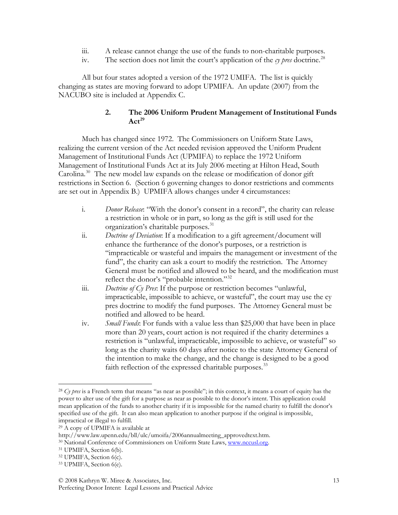- iii. A release cannot change the use of the funds to non-charitable purposes.
- iv. The section does not limit the court's application of the  $c\gamma$  pres doctrine.<sup>[28](#page-12-0)</sup>

All but four states adopted a version of the 1972 UMIFA. The list is quickly changing as states are moving forward to adopt UPMIFA. An update (2007) from the NACUBO site is included at Appendix C.

#### **2. The 2006 Uniform Prudent Management of Institutional Funds Act[29](#page-12-1)**

Much has changed since 1972. The Commissioners on Uniform State Laws, realizing the current version of the Act needed revision approved the Uniform Prudent Management of Institutional Funds Act (UPMIFA) to replace the 1972 Uniform Management of Institutional Funds Act at its July 2006 meeting at Hilton Head, South Carolina.<sup>[30](#page-12-2)</sup> The new model law expands on the release or modification of donor gift restrictions in Section 6. (Section 6 governing changes to donor restrictions and comments are set out in Appendix B.) UPMIFA allows changes under 4 circumstances:

- i. *Donor Release*: "With the donor's consent in a record", the charity can release a restriction in whole or in part, so long as the gift is still used for the organization's charitable purposes.<sup>[31](#page-12-3)</sup>
- ii. *Doctrine of Deviation*: If a modification to a gift agreement/document will enhance the furtherance of the donor's purposes, or a restriction is "impracticable or wasteful and impairs the management or investment of the fund", the charity can ask a court to modify the restriction. The Attorney General must be notified and allowed to be heard, and the modification must reflect the donor's "probable intention."<sup>[32](#page-12-4)</sup>
- iii. *Doctrine of Cy Pres*: If the purpose or restriction becomes "unlawful, impracticable, impossible to achieve, or wasteful", the court may use the cy pres doctrine to modify the fund purposes. The Attorney General must be notified and allowed to be heard.
- iv. *Small Funds*: For funds with a value less than \$25,000 that have been in place more than 20 years, court action is not required if the charity determines a restriction is "unlawful, impracticable, impossible to achieve, or wasteful" so long as the charity waits 60 days after notice to the state Attorney General of the intention to make the change, and the change is designed to be a good faith reflection of the expressed charitable purposes.<sup>[33](#page-12-5)</sup>

 $\overline{a}$ 

32 UPMIFA, Section 6(c).

<span id="page-12-0"></span><sup>28</sup> *Cy pres* is a French term that means "as near as possible"; in this context, it means a court of equity has the power to alter use of the gift for a purpose as near as possible to the donor's intent. This application could mean application of the funds to another charity if it is impossible for the named charity to fulfill the donor's specified use of the gift. It can also mean application to another purpose if the original is impossible, impractical or illegal to fulfill.

<span id="page-12-1"></span><sup>29</sup> A copy of UPMIFA is available at

<span id="page-12-2"></span>http://www.law.upenn.edu/bll/ulc/umoifa/2006annualmeeting\_a[pprovedtext.htm](http://www.nccusl.org/). <sup>30</sup> National Conference of Commissioners on Uniform State Laws, [www.nccusl.org](http://www.nccusl.org/). <sup>31</sup> UPMIFA, Section 6(b).

<span id="page-12-3"></span>

<span id="page-12-5"></span><span id="page-12-4"></span><sup>33</sup> UPMIFA, Section 6(e).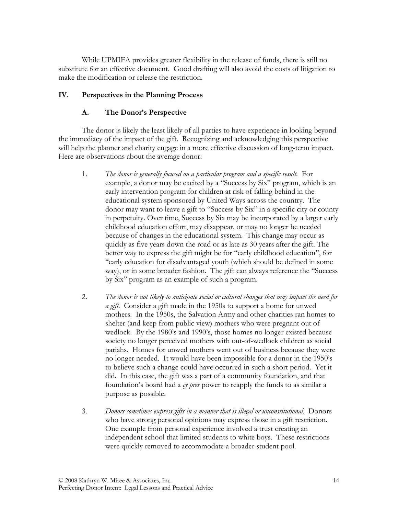While UPMIFA provides greater flexibility in the release of funds, there is still no substitute for an effective document. Good drafting will also avoid the costs of litigation to make the modification or release the restriction.

## **IV. Perspectives in the Planning Process**

### **A. The Donor's Perspective**

The donor is likely the least likely of all parties to have experience in looking beyond the immediacy of the impact of the gift. Recognizing and acknowledging this perspective will help the planner and charity engage in a more effective discussion of long-term impact. Here are observations about the average donor:

- 1. *The donor is generally focused on a particular program and a specific result.* For example, a donor may be excited by a "Success by Six" program, which is an early intervention program for children at risk of falling behind in the educational system sponsored by United Ways across the country. The donor may want to leave a gift to "Success by Six" in a specific city or county in perpetuity. Over time, Success by Six may be incorporated by a larger early childhood education effort, may disappear, or may no longer be needed because of changes in the educational system. This change may occur as quickly as five years down the road or as late as 30 years after the gift. The better way to express the gift might be for "early childhood education", for "early education for disadvantaged youth (which should be defined in some way), or in some broader fashion. The gift can always reference the "Success by Six" program as an example of such a program.
- 2. *The donor is not likely to anticipate social or cultural changes that may impact the need for a gift*. Consider a gift made in the 1950s to support a home for unwed mothers. In the 1950s, the Salvation Army and other charities ran homes to shelter (and keep from public view) mothers who were pregnant out of wedlock. By the 1980's and 1990's, those homes no longer existed because society no longer perceived mothers with out-of-wedlock children as social pariahs. Homes for unwed mothers went out of business because they were no longer needed. It would have been impossible for a donor in the 1950's to believe such a change could have occurred in such a short period. Yet it did. In this case, the gift was a part of a community foundation, and that foundation's board had a *cy pres* power to reapply the funds to as similar a purpose as possible.
- 3. *Donors sometimes express gifts in a manner that is illegal or unconstitutional*. Donors who have strong personal opinions may express those in a gift restriction. One example from personal experience involved a trust creating an independent school that limited students to white boys. These restrictions were quickly removed to accommodate a broader student pool.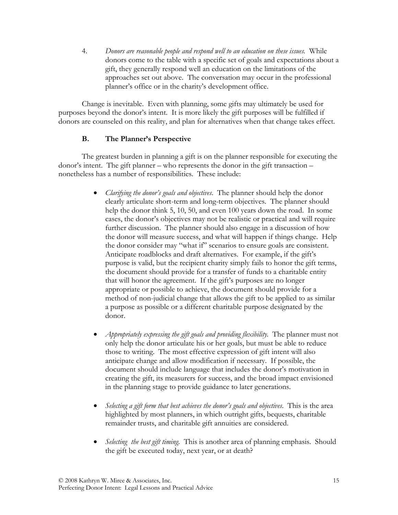4. *Donors are reasonable people and respond well to an education on these issues.* While donors come to the table with a specific set of goals and expectations about a gift, they generally respond well an education on the limitations of the approaches set out above. The conversation may occur in the professional planner's office or in the charity's development office.

Change is inevitable. Even with planning, some gifts may ultimately be used for purposes beyond the donor's intent. It is more likely the gift purposes will be fulfilled if donors are counseled on this reality, and plan for alternatives when that change takes effect.

#### **B. The Planner's Perspective**

The greatest burden in planning a gift is on the planner responsible for executing the donor's intent. The gift planner – who represents the donor in the gift transaction – nonetheless has a number of responsibilities. These include:

- *Clarifying the donor's goals and objectives*. The planner should help the donor clearly articulate short-term and long-term objectives. The planner should help the donor think 5, 10, 50, and even 100 years down the road. In some cases, the donor's objectives may not be realistic or practical and will require further discussion. The planner should also engage in a discussion of how the donor will measure success, and what will happen if things change. Help the donor consider may "what if" scenarios to ensure goals are consistent. Anticipate roadblocks and draft alternatives. For example, if the gift's purpose is valid, but the recipient charity simply fails to honor the gift terms, the document should provide for a transfer of funds to a charitable entity that will honor the agreement. If the gift's purposes are no longer appropriate or possible to achieve, the document should provide for a method of non-judicial change that allows the gift to be applied to as similar a purpose as possible or a different charitable purpose designated by the donor.
- *Appropriately expressing the gift goals and providing flexibility.* The planner must not only help the donor articulate his or her goals, but must be able to reduce those to writing. The most effective expression of gift intent will also anticipate change and allow modification if necessary. If possible, the document should include language that includes the donor's motivation in creating the gift, its measurers for success, and the broad impact envisioned in the planning stage to provide guidance to later generations.
- *Selecting a gift form that best achieves the donor's goals and objectives*. This is the area highlighted by most planners, in which outright gifts, bequests, charitable remainder trusts, and charitable gift annuities are considered.
- *Selecting the best gift timing*. This is another area of planning emphasis. Should the gift be executed today, next year, or at death?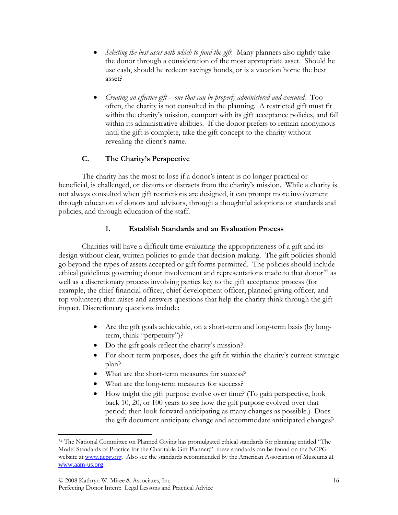- *Selecting the best asset with which to fund the gift*. Many planners also rightly take the donor through a consideration of the most appropriate asset. Should he use cash, should he redeem savings bonds, or is a vacation home the best asset?
- *Creating an effective gift one that can be properly administered and executed.* Too often, the charity is not consulted in the planning. A restricted gift must fit within the charity's mission, comport with its gift acceptance policies, and fall within its administrative abilities. If the donor prefers to remain anonymous until the gift is complete, take the gift concept to the charity without revealing the client's name.

## **C. The Charity's Perspective**

The charity has the most to lose if a donor's intent is no longer practical or beneficial, is challenged, or distorts or distracts from the charity's mission. While a charity is not always consulted when gift restrictions are designed, it can prompt more involvement through education of donors and advisors, through a thoughtful adoptions or standards and policies, and through education of the staff.

## **1. Establish Standards and an Evaluation Process**

Charities will have a difficult time evaluating the appropriateness of a gift and its design without clear, written policies to guide that decision making. The gift policies should go beyond the types of assets accepted or gift forms permitted. The policies should include ethical guidelines governing donor involvement and representations made to that donor<sup>[34](#page-15-0)</sup> as well as a discretionary process involving parties key to the gift acceptance process (for example, the chief financial officer, chief development officer, planned giving officer, and top volunteer) that raises and answers questions that help the charity think through the gift impact. Discretionary questions include:

- Are the gift goals achievable, on a short-term and long-term basis (by longterm, think "perpetuity")?
- Do the gift goals reflect the charity's mission?
- For short-term purposes, does the gift fit within the charity's current strategic plan?
- What are the short-term measures for success?
- What are the long-term measures for success?
- How might the gift purpose evolve over time? (To gain perspective, look back 10, 20, or 100 years to see how the gift purpose evolved over that period; then look forward anticipating as many changes as possible.) Does the gift document anticipate change and accommodate anticipated changes?

1

<span id="page-15-0"></span><sup>34</sup> The National Committee on Planned Giving has promulgated ethical standards for planning entitled "The Model Standards of Practice for the Charitable Gift Planner;" these standards can be found on the NCPG website at [www.ncpg.org](http://www.ncpg.org/). Also see the standards recommended by the American Association of Museums at [www.aam-us.org.](http://www.aam-us.org/)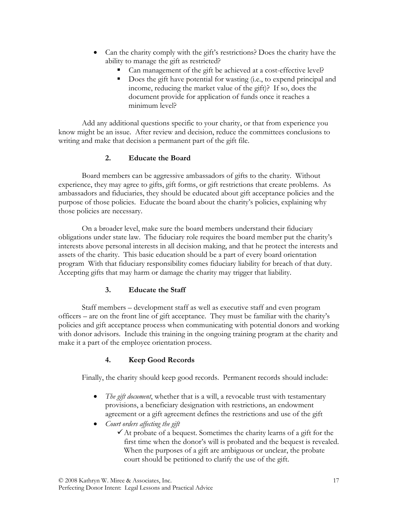- Can the charity comply with the gift's restrictions? Does the charity have the ability to manage the gift as restricted?
	- Can management of the gift be achieved at a cost-effective level?
	- Does the gift have potential for wasting (i.e., to expend principal and income, reducing the market value of the gift)? If so, does the document provide for application of funds once it reaches a minimum level?

Add any additional questions specific to your charity, or that from experience you know might be an issue. After review and decision, reduce the committees conclusions to writing and make that decision a permanent part of the gift file.

## **2. Educate the Board**

Board members can be aggressive ambassadors of gifts to the charity. Without experience, they may agree to gifts, gift forms, or gift restrictions that create problems. As ambassadors and fiduciaries, they should be educated about gift acceptance policies and the purpose of those policies. Educate the board about the charity's policies, explaining why those policies are necessary.

On a broader level, make sure the board members understand their fiduciary obligations under state law. The fiduciary role requires the board member put the charity's interests above personal interests in all decision making, and that he protect the interests and assets of the charity. This basic education should be a part of every board orientation program With that fiduciary responsibility comes fiduciary liability for breach of that duty. Accepting gifts that may harm or damage the charity may trigger that liability.

## **3. Educate the Staff**

Staff members – development staff as well as executive staff and even program officers – are on the front line of gift acceptance. They must be familiar with the charity's policies and gift acceptance process when communicating with potential donors and working with donor advisors. Include this training in the ongoing training program at the charity and make it a part of the employee orientation process.

## **4. Keep Good Records**

Finally, the charity should keep good records. Permanent records should include:

- *The gift document*, whether that is a will, a revocable trust with testamentary provisions, a beneficiary designation with restrictions, an endowment agreement or a gift agreement defines the restrictions and use of the gift
- *Court orders affecting the gift*
	- $\checkmark$  At probate of a bequest. Sometimes the charity learns of a gift for the first time when the donor's will is probated and the bequest is revealed. When the purposes of a gift are ambiguous or unclear, the probate court should be petitioned to clarify the use of the gift.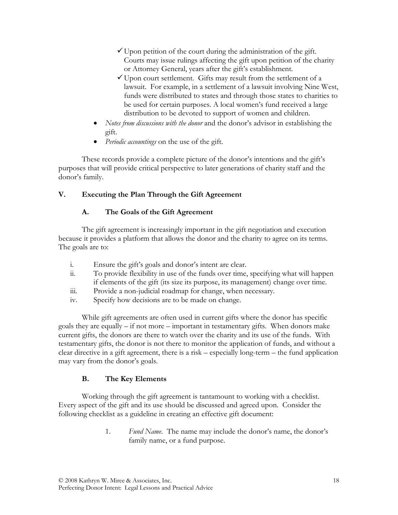- $\checkmark$  Upon petition of the court during the administration of the gift. Courts may issue rulings affecting the gift upon petition of the charity or Attorney General, years after the gift's establishment.
- $\checkmark$  Upon court settlement. Gifts may result from the settlement of a lawsuit. For example, in a settlement of a lawsuit involving Nine West, funds were distributed to states and through those states to charities to be used for certain purposes. A local women's fund received a large distribution to be devoted to support of women and children.
- *Notes from discussions with the donor* and the donor's advisor in establishing the gift.
- *Periodic accountings* on the use of the gift.

These records provide a complete picture of the donor's intentions and the gift's purposes that will provide critical perspective to later generations of charity staff and the donor's family.

## **V. Executing the Plan Through the Gift Agreement**

## **A. The Goals of the Gift Agreement**

The gift agreement is increasingly important in the gift negotiation and execution because it provides a platform that allows the donor and the charity to agree on its terms. The goals are to:

- i. Ensure the gift's goals and donor's intent are clear.
- ii. To provide flexibility in use of the funds over time, specifying what will happen if elements of the gift (its size its purpose, its management) change over time.
- iii. Provide a non-judicial roadmap for change, when necessary.
- iv. Specify how decisions are to be made on change.

While gift agreements are often used in current gifts where the donor has specific goals they are equally – if not more – important in testamentary gifts. When donors make current gifts, the donors are there to watch over the charity and its use of the funds. With testamentary gifts, the donor is not there to monitor the application of funds, and without a clear directive in a gift agreement, there is a risk – especially long-term – the fund application may vary from the donor's goals.

## **B. The Key Elements**

Working through the gift agreement is tantamount to working with a checklist. Every aspect of the gift and its use should be discussed and agreed upon. Consider the following checklist as a guideline in creating an effective gift document:

> 1. *Fund Name.* The name may include the donor's name, the donor's family name, or a fund purpose.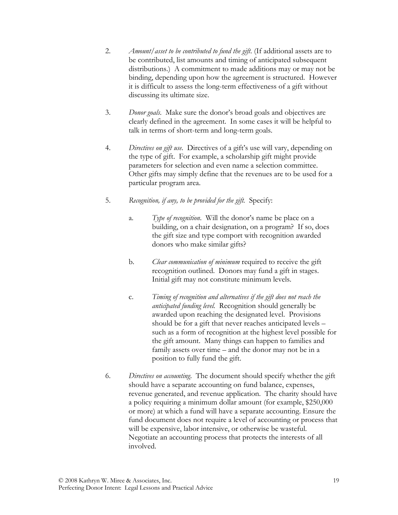- 2. *Amount/asset to be contributed to fund the gift*. (If additional assets are to be contributed, list amounts and timing of anticipated subsequent distributions.) A commitment to made additions may or may not be binding, depending upon how the agreement is structured. However it is difficult to assess the long-term effectiveness of a gift without discussing its ultimate size.
- 3. *Donor goals*. Make sure the donor's broad goals and objectives are clearly defined in the agreement. In some cases it will be helpful to talk in terms of short-term and long-term goals.
- 4. *Directives on gift use*. Directives of a gift's use will vary, depending on the type of gift. For example, a scholarship gift might provide parameters for selection and even name a selection committee. Other gifts may simply define that the revenues are to be used for a particular program area.
- 5. *Recognition, if any, to be provided for the gift.* Specify:
	- a. *Type of recognition*. Will the donor's name be place on a building, on a chair designation, on a program? If so, does the gift size and type comport with recognition awarded donors who make similar gifts?
	- b. *Clear communication of minimum* required to receive the gift recognition outlined. Donors may fund a gift in stages. Initial gift may not constitute minimum levels.
	- c. *Timing of recognition and alternatives if the gift does not reach the anticipated funding level.* Recognition should generally be awarded upon reaching the designated level. Provisions should be for a gift that never reaches anticipated levels – such as a form of recognition at the highest level possible for the gift amount. Many things can happen to families and family assets over time – and the donor may not be in a position to fully fund the gift.
- 6. *Directives on accounting*. The document should specify whether the gift should have a separate accounting on fund balance, expenses, revenue generated, and revenue application. The charity should have a policy requiring a minimum dollar amount (for example, \$250,000 or more) at which a fund will have a separate accounting. Ensure the fund document does not require a level of accounting or process that will be expensive, labor intensive, or otherwise be wasteful. Negotiate an accounting process that protects the interests of all involved.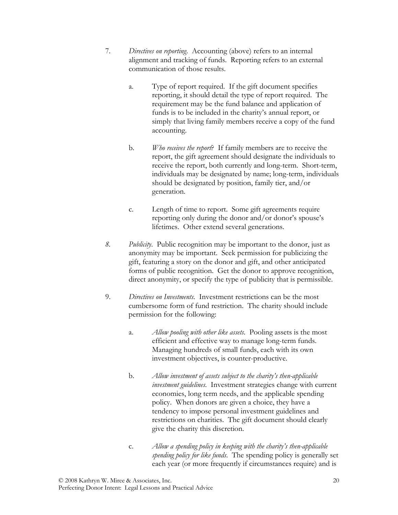- 7. *Directives on reporting*. Accounting (above) refers to an internal alignment and tracking of funds. Reporting refers to an external communication of those results.
	- a. Type of report required. If the gift document specifies reporting, it should detail the type of report required. The requirement may be the fund balance and application of funds is to be included in the charity's annual report, or simply that living family members receive a copy of the fund accounting.
	- b. *Who receives the report*? If family members are to receive the report, the gift agreement should designate the individuals to receive the report, both currently and long-term. Short-term, individuals may be designated by name; long-term, individuals should be designated by position, family tier, and/or generation.
	- c. Length of time to report. Some gift agreements require reporting only during the donor and/or donor's spouse's lifetimes. Other extend several generations.
- *8. Publicity*. Public recognition may be important to the donor, just as anonymity may be important. Seek permission for publicizing the gift, featuring a story on the donor and gift, and other anticipated forms of public recognition. Get the donor to approve recognition, direct anonymity, or specify the type of publicity that is permissible.
- 9. *Directives on Investments*. Investment restrictions can be the most cumbersome form of fund restriction. The charity should include permission for the following:
	- a. *Allow pooling with other like assets*. Pooling assets is the most efficient and effective way to manage long-term funds. Managing hundreds of small funds, each with its own investment objectives, is counter-productive.
	- b. *Allow investment of assets subject to the charity's then-applicable investment guidelines*. Investment strategies change with current economies, long term needs, and the applicable spending policy. When donors are given a choice, they have a tendency to impose personal investment guidelines and restrictions on charities. The gift document should clearly give the charity this discretion.
	- c. *Allow a spending policy in keeping with the charity's then-applicable spending policy for like funds*. The spending policy is generally set each year (or more frequently if circumstances require) and is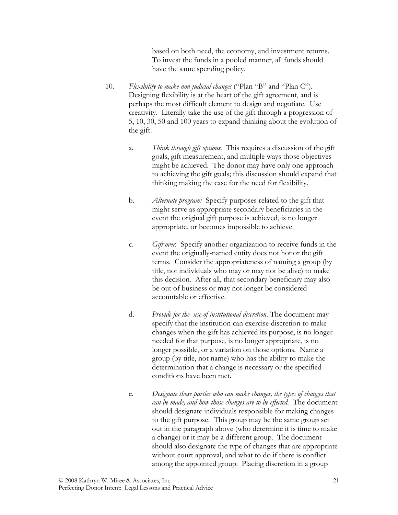based on both need, the economy, and investment returns. To invest the funds in a pooled manner, all funds should have the same spending policy.

- 10. *Flexibility to make non-judicial changes* ("Plan "B" and "Plan C"). Designing flexibility is at the heart of the gift agreement, and is perhaps the most difficult element to design and negotiate. Use creativity. Literally take the use of the gift through a progression of 5, 10, 30, 50 and 100 years to expand thinking about the evolution of the gift.
	- a. *Think through gift options*. This requires a discussion of the gift goals, gift measurement, and multiple ways those objectives might be achieved. The donor may have only one approach to achieving the gift goals; this discussion should expand that thinking making the case for the need for flexibility.
	- b. *Alternate program:* Specify purposes related to the gift that might serve as appropriate secondary beneficiaries in the event the original gift purpose is achieved, is no longer appropriate, or becomes impossible to achieve.
	- c. *Gift over.* Specify another organization to receive funds in the event the originally-named entity does not honor the gift terms. Consider the appropriateness of naming a group (by title, not individuals who may or may not be alive) to make this decision. After all, that secondary beneficiary may also be out of business or may not longer be considered accountable or effective.
	- d. *Provide for the use of institutional discretion*. The document may specify that the institution can exercise discretion to make changes when the gift has achieved its purpose, is no longer needed for that purpose, is no longer appropriate, is no longer possible, or a variation on those options. Name a group (by title, not name) who has the ability to make the determination that a change is necessary or the specified conditions have been met.
	- e. *Designate those parties who can make changes, the types of changes that can be made, and how those changes are to be effected.* The document should designate individuals responsible for making changes to the gift purpose. This group may be the same group set out in the paragraph above (who determine it is time to make a change) or it may be a different group. The document should also designate the type of changes that are appropriate without court approval, and what to do if there is conflict among the appointed group. Placing discretion in a group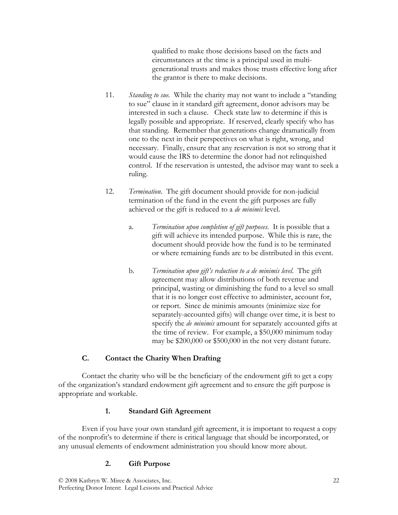qualified to make those decisions based on the facts and circumstances at the time is a principal used in multigenerational trusts and makes those trusts effective long after the grantor is there to make decisions.

- 11. *Standing to sue.* While the charity may not want to include a "standing to sue" clause in it standard gift agreement, donor advisors may be interested in such a clause. Check state law to determine if this is legally possible and appropriate. If reserved, clearly specify who has that standing. Remember that generations change dramatically from one to the next in their perspectives on what is right, wrong, and necessary. Finally, ensure that any reservation is not so strong that it would cause the IRS to determine the donor had not relinquished control. If the reservation is untested, the advisor may want to seek a ruling.
- 12. *Termination*. The gift document should provide for non-judicial termination of the fund in the event the gift purposes are fully achieved or the gift is reduced to a *de minimis* level.
	- a. *Termination upon completion of gift purposes*. It is possible that a gift will achieve its intended purpose. While this is rare, the document should provide how the fund is to be terminated or where remaining funds are to be distributed in this event.
	- b. *Termination upon gift's reduction to a de minimis level*. The gift agreement may allow distributions of both revenue and principal, wasting or diminishing the fund to a level so small that it is no longer cost effective to administer, account for, or report. Since de minimis amounts (minimize size for separately-accounted gifts) will change over time, it is best to specify the *de minimis* amount for separately accounted gifts at the time of review. For example, a \$50,000 minimum today may be \$200,000 or \$500,000 in the not very distant future.

## **C. Contact the Charity When Drafting**

Contact the charity who will be the beneficiary of the endowment gift to get a copy of the organization's standard endowment gift agreement and to ensure the gift purpose is appropriate and workable.

#### **1. Standard Gift Agreement**

Even if you have your own standard gift agreement, it is important to request a copy of the nonprofit's to determine if there is critical language that should be incorporated, or any unusual elements of endowment administration you should know more about.

#### **2. Gift Purpose**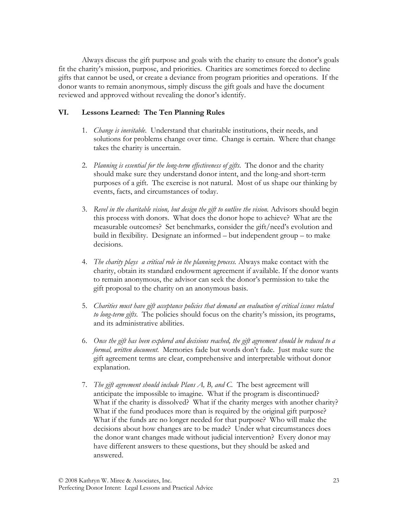Always discuss the gift purpose and goals with the charity to ensure the donor's goals fit the charity's mission, purpose, and priorities. Charities are sometimes forced to decline gifts that cannot be used, or create a deviance from program priorities and operations. If the donor wants to remain anonymous, simply discuss the gift goals and have the document reviewed and approved without revealing the donor's identify.

#### **VI. Lessons Learned: The Ten Planning Rules**

- 1. *Change is inevitable*. Understand that charitable institutions, their needs, and solutions for problems change over time. Change is certain. Where that change takes the charity is uncertain.
- 2. *Planning is essential for the long-term effectiveness of gifts*. The donor and the charity should make sure they understand donor intent, and the long-and short-term purposes of a gift. The exercise is not natural. Most of us shape our thinking by events, facts, and circumstances of today.
- 3. *Revel in the charitable vision, but design the gift to outlive the vision.* Advisors should begin this process with donors. What does the donor hope to achieve? What are the measurable outcomes? Set benchmarks, consider the gift/need's evolution and build in flexibility. Designate an informed – but independent group – to make decisions.
- 4. *The charity plays a critical role in the planning process.* Always make contact with the charity, obtain its standard endowment agreement if available. If the donor wants to remain anonymous, the advisor can seek the donor's permission to take the gift proposal to the charity on an anonymous basis.
- 5. *Charities must have gift acceptance policies that demand an evaluation of critical issues related to long-term gifts*. The policies should focus on the charity's mission, its programs, and its administrative abilities.
- 6. *Once the gift has been explored and decisions reached, the gift agreement should be reduced to a formal, written document.* Memories fade but words don't fade. Just make sure the gift agreement terms are clear, comprehensive and interpretable without donor explanation.
- 7. *The gift agreement should include Plans A, B, and C.* The best agreement will anticipate the impossible to imagine. What if the program is discontinued? What if the charity is dissolved? What if the charity merges with another charity? What if the fund produces more than is required by the original gift purpose? What if the funds are no longer needed for that purpose? Who will make the decisions about how changes are to be made? Under what circumstances does the donor want changes made without judicial intervention? Every donor may have different answers to these questions, but they should be asked and answered.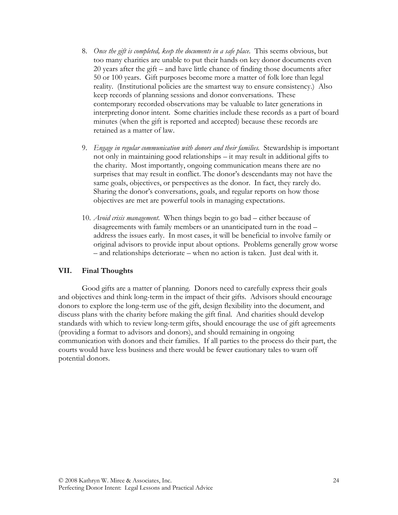- 8. *Once the gift is completed, keep the documents in a safe place*. This seems obvious, but too many charities are unable to put their hands on key donor documents even 20 years after the gift – and have little chance of finding those documents after 50 or 100 years. Gift purposes become more a matter of folk lore than legal reality. (Institutional policies are the smartest way to ensure consistency.) Also keep records of planning sessions and donor conversations. These contemporary recorded observations may be valuable to later generations in interpreting donor intent. Some charities include these records as a part of board minutes (when the gift is reported and accepted) because these records are retained as a matter of law.
- 9. *Engage in regular communication with donors and their families.* Stewardship is important not only in maintaining good relationships – it may result in additional gifts to the charity. Most importantly, ongoing communication means there are no surprises that may result in conflict. The donor's descendants may not have the same goals, objectives, or perspectives as the donor. In fact, they rarely do. Sharing the donor's conversations, goals, and regular reports on how those objectives are met are powerful tools in managing expectations.
- 10. *Avoid crisis management*. When things begin to go bad either because of disagreements with family members or an unanticipated turn in the road – address the issues early. In most cases, it will be beneficial to involve family or original advisors to provide input about options. Problems generally grow worse – and relationships deteriorate – when no action is taken. Just deal with it.

#### **VII. Final Thoughts**

Good gifts are a matter of planning. Donors need to carefully express their goals and objectives and think long-term in the impact of their gifts. Advisors should encourage donors to explore the long-term use of the gift, design flexibility into the document, and discuss plans with the charity before making the gift final. And charities should develop standards with which to review long-term gifts, should encourage the use of gift agreements (providing a format to advisors and donors), and should remaining in ongoing communication with donors and their families. If all parties to the process do their part, the courts would have less business and there would be fewer cautionary tales to warn off potential donors.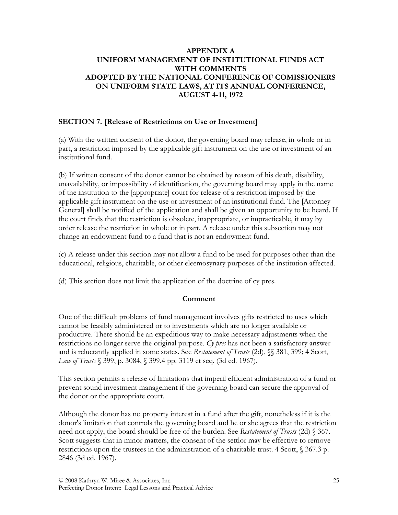## **APPENDIX A UNIFORM MANAGEMENT OF INSTITUTIONAL FUNDS ACT WITH COMMENTS ADOPTED BY THE NATIONAL CONFERENCE OF COMISSIONERS ON UNIFORM STATE LAWS, AT ITS ANNUAL CONFERENCE, AUGUST 4-11, 1972**

## **SECTION 7. [Release of Restrictions on Use or Investment]**

(a) With the written consent of the donor, the governing board may release, in whole or in part, a restriction imposed by the applicable gift instrument on the use or investment of an institutional fund.

(b) If written consent of the donor cannot be obtained by reason of his death, disability, unavailability, or impossibility of identification, the governing board may apply in the name of the institution to the [appropriate] court for release of a restriction imposed by the applicable gift instrument on the use or investment of an institutional fund. The [Attorney General] shall be notified of the application and shall be given an opportunity to be heard. If the court finds that the restriction is obsolete, inappropriate, or impracticable, it may by order release the restriction in whole or in part. A release under this subsection may not change an endowment fund to a fund that is not an endowment fund.

(c) A release under this section may not allow a fund to be used for purposes other than the educational, religious, charitable, or other eleemosynary purposes of the institution affected.

(d) This section does not limit the application of the doctrine of cy pres.

#### **Comment**

One of the difficult problems of fund management involves gifts restricted to uses which cannot be feasibly administered or to investments which are no longer available or productive. There should be an expeditious way to make necessary adjustments when the restrictions no longer serve the original purpose. *Cy pres* has not been a satisfactory answer and is reluctantly applied in some states. See *Restatement of Trusts* (2d), §§ 381, 399; 4 Scott, *Law of Trusts* § 399, p. 3084, § 399.4 pp. 3119 et seq. (3d ed. 1967).

This section permits a release of limitations that imperil efficient administration of a fund or prevent sound investment management if the governing board can secure the approval of the donor or the appropriate court.

Although the donor has no property interest in a fund after the gift, nonetheless if it is the donor's limitation that controls the governing board and he or she agrees that the restriction need not apply, the board should be free of the burden. See *Restatement of Trusts* (2d) § 367. Scott suggests that in minor matters, the consent of the settlor may be effective to remove restrictions upon the trustees in the administration of a charitable trust. 4 Scott, § 367.3 p. 2846 (3d ed. 1967).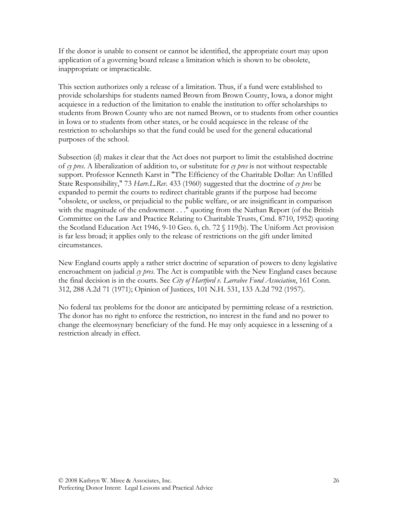If the donor is unable to consent or cannot be identified, the appropriate court may upon application of a governing board release a limitation which is shown to be obsolete, inappropriate or impracticable.

This section authorizes only a release of a limitation. Thus, if a fund were established to provide scholarships for students named Brown from Brown County, Iowa, a donor might acquiesce in a reduction of the limitation to enable the institution to offer scholarships to students from Brown County who are not named Brown, or to students from other counties in Iowa or to students from other states, or he could acquiesce in the release of the restriction to scholarships so that the fund could be used for the general educational purposes of the school.

Subsection (d) makes it clear that the Act does not purport to limit the established doctrine of *cy pres*. A liberalization of addition to, or substitute for *cy pres* is not without respectable support. Professor Kenneth Karst in "The Efficiency of the Charitable Dollar: An Unfilled State Responsibility," 73 *Harv.L.Rev.* 433 (1960) suggested that the doctrine of *cy pres* be expanded to permit the courts to redirect charitable grants if the purpose had become "obsolete, or useless, or prejudicial to the public welfare, or are insignificant in comparison with the magnitude of the endowment . . ." quoting from the Nathan Report (of the British Committee on the Law and Practice Relating to Charitable Trusts, Cmd. 8710, 1952) quoting the Scotland Education Act 1946, 9-10 Geo. 6, ch. 72 § 119(b). The Uniform Act provision is far less broad; it applies only to the release of restrictions on the gift under limited circumstances.

New England courts apply a rather strict doctrine of separation of powers to deny legislative encroachment on judicial *cy pres*. The Act is compatible with the New England cases because the final decision is in the courts. See *City of Hartford v. Larrabee Fund Association*, 161 Conn. 312, 288 A.2d 71 (1971); Opinion of Justices, 101 N.H. 531, 133 A.2d 792 (1957).

No federal tax problems for the donor are anticipated by permitting release of a restriction. The donor has no right to enforce the restriction, no interest in the fund and no power to change the eleemosynary beneficiary of the fund. He may only acquiesce in a lessening of a restriction already in effect.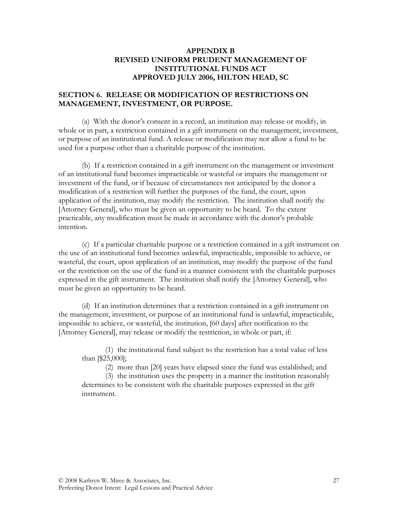#### **APPENDIX B REVISED UNIFORM PRUDENT MANAGEMENT OF INSTITUTIONAL FUNDS ACT APPROVED JULY 2006, HILTON HEAD, SC**

#### **SECTION 6. RELEASE OR MODIFICATION OF RESTRICTIONS ON MANAGEMENT, INVESTMENT, OR PURPOSE.**

 (a) With the donor's consent in a record, an institution may release or modify, in whole or in part, a restriction contained in a gift instrument on the management, investment, or purpose of an institutional fund. A release or modification may not allow a fund to be used for a purpose other than a charitable purpose of the institution.

 (b) If a restriction contained in a gift instrument on the management or investment of an institutional fund becomes impracticable or wasteful or impairs the management or investment of the fund, or if because of circumstances not anticipated by the donor a modification of a restriction will further the purposes of the fund, the court, upon application of the institution, may modify the restriction. The institution shall notify the [Attorney General], who must be given an opportunity to be heard. To the extent practicable, any modification must be made in accordance with the donor's probable intention.

(c) If a particular charitable purpose or a restriction contained in a gift instrument on the use of an institutional fund becomes unlawful, impracticable, impossible to achieve, or wasteful, the court, upon application of an institution, may modify the purpose of the fund or the restriction on the use of the fund in a manner consistent with the charitable purposes expressed in the gift instrument. The institution shall notify the [Attorney General], who must be given an opportunity to be heard.

(d) If an institution determines that a restriction contained in a gift instrument on the management, investment, or purpose of an institutional fund is unlawful, impracticable, impossible to achieve, or wasteful, the institution, [60 days] after notification to the [Attorney General], may release or modify the restriction, in whole or part, if:

(1) the institutional fund subject to the restriction has a total value of less than [\$25,000];

(2) more than [20] years have elapsed since the fund was established; and

 (3) the institution uses the property in a manner the institution reasonably determines to be consistent with the charitable purposes expressed in the gift instrument.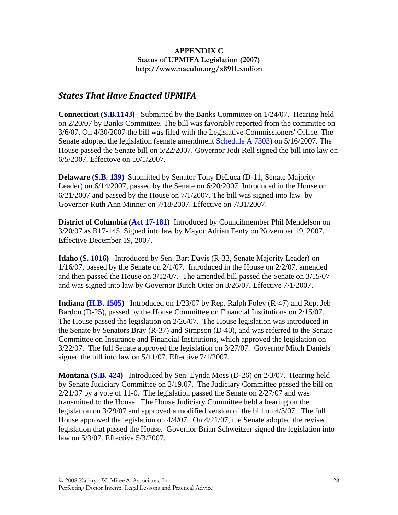#### **APPENDIX C Status of UPMIFA Legislation (2007) http://www.nacubo.org/x8911.xmlion**

## *States That Have Enacted UPMIFA*

**Connecticut [\(S.B.1143\)](http://www.cga.ct.gov/2007/ACT/PA/2007PA-00091-R00SB-01143-PA.htm)** Submitted by the Banks Committee on 1/24/07. Hearing held on 2/20/07 by Banks Committee. The bill was favorably reported from the committee on 3/6/07. On 4/30/2007 the bill was filed with the Legislative Commissioners' Office. The Senate adopted the legislation (senate amendment [Schedule A 7303](http://www.cga.ct.gov/2007/AMD/S/2007SB-01143-R00SA-AMD.htm)) on 5/16/2007. The House passed the Senate bill on 5/22/2007. Governor Jodi Rell signed the bill into law on 6/5/2007. Effectove on 10/1/2007.

**Delaware [\(S.B. 139\)](http://legis.state.de.us/LIS/LIS144.NSF/93487d394bc01014882569a4007a4cb7/bc1430d7838dab59852572f8005aaf91?OpenDocument)** Submitted by Senator Tony DeLuca (D-11, Senate Majority Leader) on 6/14/2007, passed by the Senate on 6/20/2007. Introduced in the House on  $6/21/2007$  and passed by the House on  $7/1/2007$ . The bill was signed into law by Governor Ruth Ann Minner on 7/18/2007. Effective on 7/31/2007.

**District of Columbia [\(Act 17-181](http://www.dccouncil.washington.dc.us/images/00001/20071116171224.pdf))** Introduced by Councilmember Phil Mendelson on 3/20/07 as B17-145. Signed into law by Mayor Adrian Fenty on November 19, 2007. Effective December 19, 2007.

**Idaho ([S. 1016\)](http://www3.state.id.us/oasis/S1016.html)** Introduced by Sen. Bart Davis (R-33, Senate Majority Leader) on 1/16/07, passed by the Senate on 2/1/07. Introduced in the House on 2/2/07, amended and then passed the House on 3/12/07. The amended bill passed the Senate on 3/15/07 and was signed into law by Governor Butch Otter on 3/26/07**.** Effective 7/1/2007.

**Indiana [\(H.B. 1505](http://www.in.gov/legislative/bills/2007/HB/HB1505.2.html))** Introduced on 1/23/07 by Rep. Ralph Foley (R-47) and Rep. Jeb Bardon (D-25), passed by the House Committee on Financial Institutions on 2/15/07. The House passed the legislation on 2/26/07. The House legislation was introduced in the Senate by Senators Bray (R-37) and Simpson (D-40), and was referred to the Senate Committee on Insurance and Financial Institutions, which approved the legislation on 3/22/07. The full Senate approved the legislation on 3/27/07. Governor Mitch Daniels signed the bill into law on 5/11/07. Effective 7/1/2007.

**Montana ([S.B. 424](http://data.opi.mt.gov/bills/2007/billhtml/SB0424.htm))** Introduced by Sen. Lynda Moss (D-26) on 2/3/07. Hearing held by Senate Judiciary Committee on 2/19.07. The Judiciary Committee passed the bill on 2/21/07 by a vote of 11-0. The legislation passed the Senate on 2/27/07 and was transmitted to the House. The House Judiciary Committee held a hearing on the legislation on 3/29/07 and approved a modified version of the bill on 4/3/07. The full House approved the legislation on 4/4/07. On 4/21/07, the Senate adopted the revised legislation that passed the House. Governor Brian Schweitzer signed the legislation into law on 5/3/07. Effective 5/3/2007.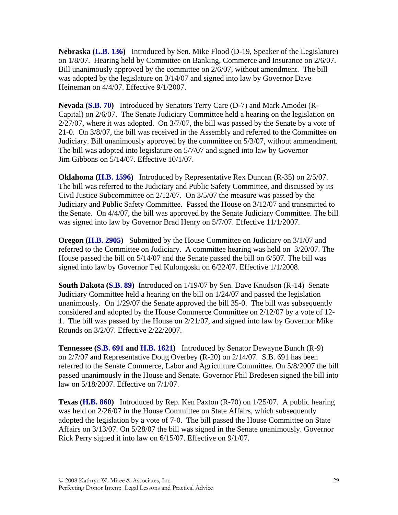**Nebraska [\(L.B. 136](http://uniweb.legislature.ne.gov/FloorDocs/Current/PDF/Final/LB136.pdf))** Introduced by Sen. Mike Flood (D-19, Speaker of the Legislature) on 1/8/07. Hearing held by Committee on Banking, Commerce and Insurance on 2/6/07. Bill unanimously approved by the committee on 2/6/07, without amendment. The bill was adopted by the legislature on 3/14/07 and signed into law by Governor Dave Heineman on 4/4/07. Effective 9/1/2007.

**Nevada ([S.B. 70](http://www.leg.state.nv.us/74th/Bills/SB/SB70.pdf))** Introduced by Senators Terry Care (D-7) and Mark Amodei (R-Capital) on 2/6/07. The Senate Judiciary Committee held a hearing on the legislation on  $2/27/07$ , where it was adopted. On  $3/7/07$ , the bill was passed by the Senate by a vote of 21-0. On 3/8/07, the bill was received in the Assembly and referred to the Committee on Judiciary. Bill unanimously approved by the committee on 5/3/07, without ammendment. The bill was adopted into legislature on 5/7/07 and signed into law by Governor Jim Gibbons on 5/14/07. Effective 10/1/07.

**Oklahoma [\(H.B. 1596](http://webserver1.lsb.state.ok.us/2007-08bills/HB/hb1596_engr.rtf))** Introduced by Representative Rex Duncan (R-35) on 2/5/07. The bill was referred to the Judiciary and Public Safety Committee, and discussed by its Civil Justice Subcommittee on 2/12/07. On 3/5/07 the measure was passed by the Judiciary and Public Safety Committee. Passed the House on 3/12/07 and transmitted to the Senate. On 4/4/07, the bill was approved by the Senate Judiciary Committee. The bill was signed into law by Governor Brad Henry on 5/7/07. Effective 11/1/2007.

**Oregon ([H.B. 2905\)](http://landru.leg.state.or.us/07reg/measures/hb2900.dir/hb2905.intro.html)** Submitted by the House Committee on Judiciary on 3/1/07 and referred to the Committee on Judiciary. A committee hearing was held on 3/20/07. The House passed the bill on 5/14/07 and the Senate passed the bill on 6/507. The bill was signed into law by Governor Ted Kulongoski on 6/22/07. Effective 1/1/2008.

**South Dakota [\(S.B. 89\)](http://legis.state.sd.us/sessions/2007/bills/SB89enr.htm)** Introduced on 1/19/07 by Sen. Dave Knudson (R-14) Senate Judiciary Committee held a hearing on the bill on 1/24/07 and passed the legislation unanimously. On 1/29/07 the Senate approved the bill 35-0. The bill was subsequently considered and adopted by the House Commerce Committee on 2/12/07 by a vote of 12- 1. The bill was passed by the House on 2/21/07, and signed into law by Governor Mike Rounds on 3/2/07. Effective 2/22/2007.

**Tennessee [\(S.B. 691](http://www.legislature.state.tn.us/bills/currentga/BILL/SB0691.pdf) and [H.B. 1621](http://www.legislature.state.tn.us/bills/currentga/BILL/HB1621.pdf))** Introduced by Senator Dewayne Bunch (R-9) on 2/7/07 and Representative Doug Overbey (R-20) on 2/14/07. S.B. 691 has been referred to the Senate Commerce, Labor and Agriculture Committee. On 5/8/2007 the bill passed unanimously in the House and Senate. Governor Phil Bredesen signed the bill into law on 5/18/2007. Effective on 7/1/07.

**Texas ([H.B. 860](http://www.capitol.state.tx.us/tlodocs/80R/billtext/html/HB00860H.htm))** Introduced by Rep. Ken Paxton (R-70) on 1/25/07. A public hearing was held on 2/26/07 in the House Committee on State Affairs, which subsequently adopted the legislation by a vote of 7-0. The bill passed the House Committee on State Affairs on 3/13/07. On 5/28/07 the bill was signed in the Senate unanimously. Governor Rick Perry signed it into law on 6/15/07. Effective on 9/1/07.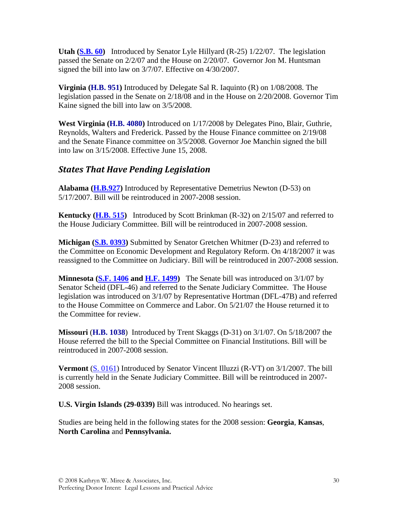**Utah [\(S.B. 60\)](http://le.utah.gov/%7E2007/bills/sbillenr/sb0060.htm)** Introduced by Senator Lyle Hillyard (R-25) 1/22/07. The legislation passed the Senate on 2/2/07 and the House on 2/20/07. Governor Jon M. Huntsman signed the bill into law on 3/7/07. Effective on 4/30/2007.

**Virginia ([H.B. 951\)](http://leg1.state.va.us/cgi-bin/legp504.exe?081+ful+HB951ER)** Introduced by Delegate Sal R. Iaquinto (R) on 1/08/2008. The legislation passed in the Senate on 2/18/08 and in the House on 2/20/2008. Governor Tim Kaine signed the bill into law on 3/5/2008.

**West Virginia ([H.B. 4080\)](http://www.legis.state.wv.us/Bill_Text_HTML/2008_SESSIONS/RS/BILLS/hb4080%20ENR.htm)** Introduced on 1/17/2008 by Delegates Pino, Blair, Guthrie, Reynolds, Walters and Frederick. Passed by the House Finance committee on 2/19/08 and the Senate Finance committee on 3/5/2008. Governor Joe Manchin signed the bill into law on 3/15/2008. Effective June 15, 2008.

# *States That Have Pending Legislation*

**Alabama ([H.B.927\)](http://alisdb.legislature.state.al.us/acas/SESSBillsStatusResults.asp?BillNumber=hb927&GetStatus=Get+Status)** Introduced by Representative Demetrius Newton (D-53) on 5/17/2007. Bill will be reintroduced in 2007-2008 session.

**Kentucky [\(H.B. 515](http://www.lrc.ky.gov/record/07RS/HB515/bill.doc))** Introduced by Scott Brinkman (R-32) on 2/15/07 and referred to the House Judiciary Committee. Bill will be reintroduced in 2007-2008 session.

**Michigan ([S.B. 0393](http://www.legislature.mi.gov/documents/2007-2008/billintroduced/Senate/htm/2007-SIB-0393.htm?tfrm=5))** Submitted by Senator Gretchen Whitmer (D-23) and referred to the Committee on Economic Development and Regulatory Reform. On 4/18/2007 it was reassigned to the Committee on Judiciary. Bill will be reintroduced in 2007-2008 session.

**Minnesota [\(S.F. 1406](http://www.revisor.leg.state.mn.us/bin/bldbill.php?bill=S1406.0.html&session=ls85) and [H.F. 1499](http://www.revisor.leg.state.mn.us/bin/bldbill.php?bill=H1499.0.html&session=ls85))** The Senate bill was introduced on 3/1/07 by Senator Scheid (DFL-46) and referred to the Senate Judiciary Committee. The House legislation was introduced on 3/1/07 by Representative Hortman (DFL-47B) and referred to the House Committee on Commerce and Labor. On 5/21/07 the House returned it to the Committee for review.

**Missouri** (**[H.B. 1038](http://www.house.mo.gov/bills071/biltxt/intro/HB1038I.htm)**) Introduced by Trent Skaggs (D-31) on 3/1/07. On 5/18/2007 the House referred the bill to the Special Committee on Financial Institutions. Bill will be reintroduced in 2007-2008 session.

**Vermont** [\(S. 0161\)](http://www.leg.state.vt.us/database/status/summary.cfm?Bill=S%2E0161&Session=2008) Introduced by Senator Vincent Illuzzi (R-VT) on 3/1/2007. The bill is currently held in the Senate Judiciary Committee. Bill will be reintroduced in 2007- 2008 session.

**U.S. Virgin Islands (29-0339)** Bill was introduced. No hearings set.

Studies are being held in the following states for the 2008 session: **Georgia**, **Kansas**, **North Carolina** and **Pennsylvania.**